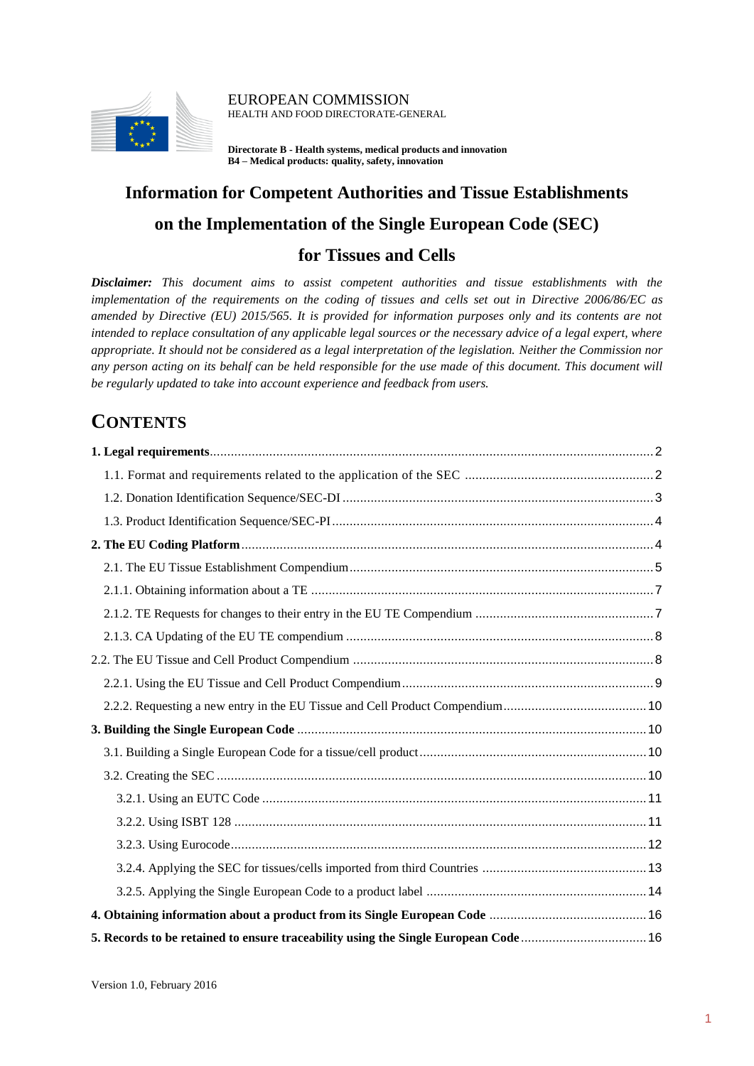

EUROPEAN COMMISSION HEALTH AND FOOD DIRECTORATE-GENERAL

**Directorate B - Health systems, medical products and innovation B4 – Medical products: quality, safety, innovation**

# **Information for Competent Authorities and Tissue Establishments on the Implementation of the Single European Code (SEC) for Tissues and Cells**

*Disclaimer: This document aims to assist competent authorities and tissue establishments with the implementation of the requirements on the coding of tissues and cells set out in Directive 2006/86/EC as amended by Directive (EU) 2015/565. It is provided for information purposes only and its contents are not intended to replace consultation of any applicable legal sources or the necessary advice of a legal expert, where appropriate. It should not be considered as a legal interpretation of the legislation. Neither the Commission nor*  any person acting on its behalf can be held responsible for the use made of this document. This document will *be regularly updated to take into account experience and feedback from users.*

# **CONTENTS**

| 5. Records to be retained to ensure traceability using the Single European Code  16 |  |
|-------------------------------------------------------------------------------------|--|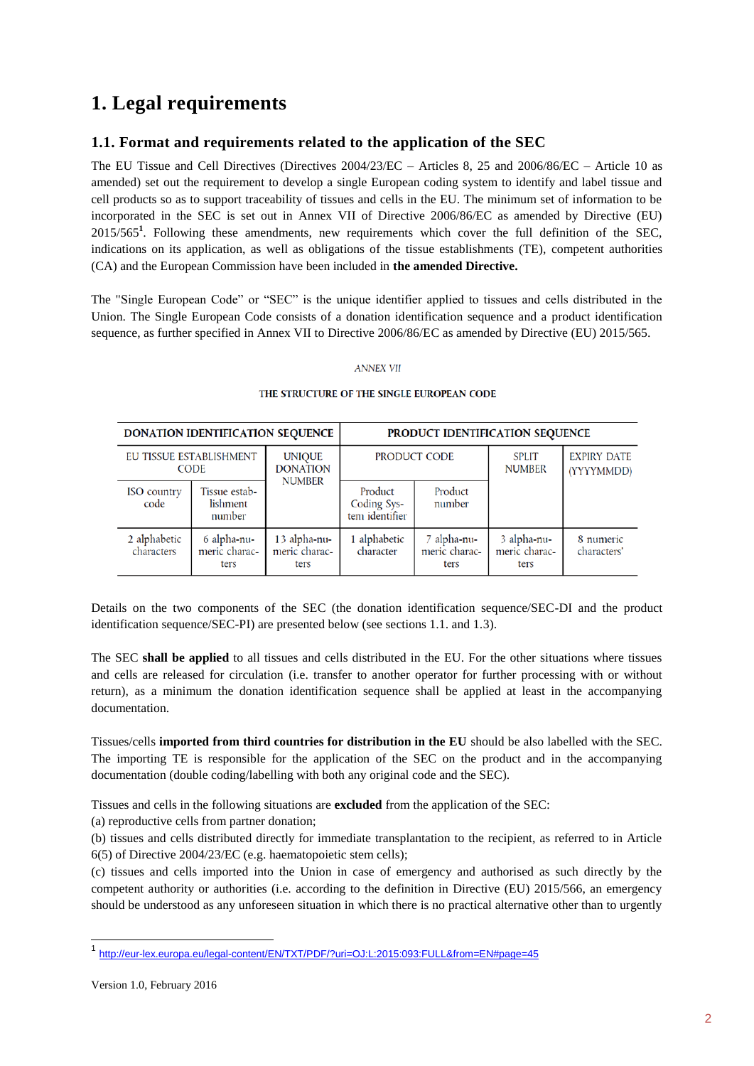# <span id="page-1-0"></span>**1. Legal requirements**

## <span id="page-1-1"></span>**1.1. Format and requirements related to the application of the SEC**

The EU Tissue and Cell Directives (Directives 2004/23/EC – Articles 8, 25 and 2006/86/EC – Article 10 as amended) set out the requirement to develop a single European coding system to identify and label tissue and cell products so as to support traceability of tissues and cells in the EU. The minimum set of information to be incorporated in the SEC is set out in Annex VII of Directive 2006/86/EC as amended by Directive (EU) 2015/565**<sup>1</sup>** . Following these amendments, new requirements which cover the full definition of the SEC, indications on its application, as well as obligations of the tissue establishments (TE), competent authorities (CA) and the European Commission have been included in **the amended Directive.**

The "Single European Code" or "SEC" is the unique identifier applied to tissues and cells distributed in the Union. The Single European Code consists of a donation identification sequence and a product identification sequence, as further specified in Annex VII to Directive 2006/86/EC as amended by Directive (EU) 2015/565.

#### **ANNEX VII**

|                            | DONATION IDENTIFICATION SEQUENCE       |                                                   |                                          |                                      | PRODUCT IDENTIFICATION SEQUENCE      |                                  |
|----------------------------|----------------------------------------|---------------------------------------------------|------------------------------------------|--------------------------------------|--------------------------------------|----------------------------------|
|                            | EU TISSUE ESTABLISHMENT<br><b>CODE</b> | <b>UNIQUE</b><br><b>DONATION</b><br><b>NUMBER</b> | PRODUCT CODE                             |                                      | <b>SPLIT</b><br><b>NUMBER</b>        | <b>EXPIRY DATE</b><br>(YYYYMMDD) |
| <b>ISO</b> country<br>code | Tissue estab-<br>lishment<br>number    |                                                   | Product<br>Coding Sys-<br>tem identifier | Product<br>number                    |                                      |                                  |
| 2 alphabetic<br>characters | 6 alpha-nu-<br>meric charac-<br>ters   | 13 alpha-nu-<br>meric charac-<br>ters             | 1 alphabetic<br>character                | 7 alpha-nu-<br>meric charac-<br>ters | 3 alpha-nu-<br>meric charac-<br>ters | 8 numeric<br>characters'         |

#### THE STRUCTURE OF THE SINGLE EUROPEAN CODE

Details on the two components of the SEC (the donation identification sequence/SEC-DI and the product identification sequence/SEC-PI) are presented below (see sections 1.1. and 1.3).

The SEC **shall be applied** to all tissues and cells distributed in the EU. For the other situations where tissues and cells are released for circulation (i.e. transfer to another operator for further processing with or without return), as a minimum the donation identification sequence shall be applied at least in the accompanying documentation.

Tissues/cells **imported from third countries for distribution in the EU** should be also labelled with the SEC. The importing TE is responsible for the application of the SEC on the product and in the accompanying documentation (double coding/labelling with both any original code and the SEC).

Tissues and cells in the following situations are **excluded** from the application of the SEC:

(a) reproductive cells from partner donation;

(b) tissues and cells distributed directly for immediate transplantation to the recipient, as referred to in Article 6(5) of Directive 2004/23/EC (e.g. haematopoietic stem cells);

(c) tissues and cells imported into the Union in case of emergency and authorised as such directly by the competent authority or authorities (i.e. according to the definition in Directive (EU) 2015/566, an emergency should be understood as any unforeseen situation in which there is no practical alternative other than to urgently

-

<sup>1</sup> <http://eur-lex.europa.eu/legal-content/EN/TXT/PDF/?uri=OJ:L:2015:093:FULL&from=EN#page=45>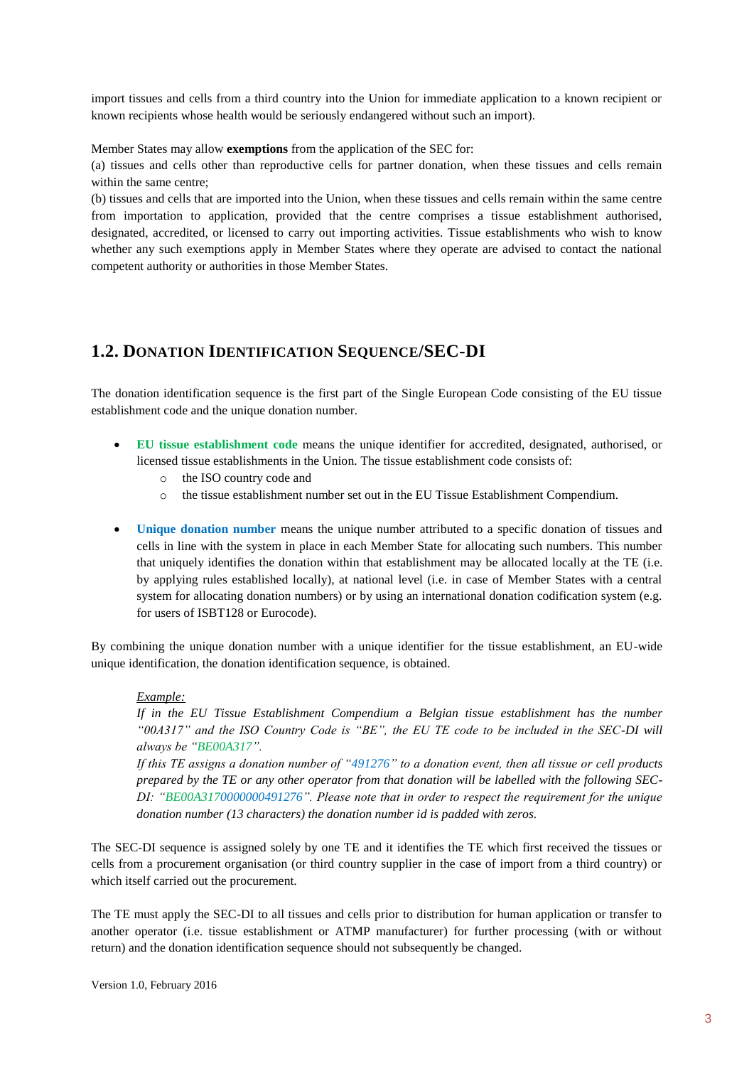import tissues and cells from a third country into the Union for immediate application to a known recipient or known recipients whose health would be seriously endangered without such an import).

Member States may allow **exemptions** from the application of the SEC for:

(a) tissues and cells other than reproductive cells for partner donation, when these tissues and cells remain within the same centre;

(b) tissues and cells that are imported into the Union, when these tissues and cells remain within the same centre from importation to application, provided that the centre comprises a tissue establishment authorised, designated, accredited, or licensed to carry out importing activities. Tissue establishments who wish to know whether any such exemptions apply in Member States where they operate are advised to contact the national competent authority or authorities in those Member States.

## <span id="page-2-0"></span>**1.2. DONATION IDENTIFICATION SEQUENCE/SEC-DI**

The donation identification sequence is the first part of the Single European Code consisting of the EU tissue establishment code and the unique donation number.

- **EU tissue establishment code** means the unique identifier for accredited, designated, authorised, or licensed tissue establishments in the Union. The tissue establishment code consists of:
	- o the ISO country code and
	- o the tissue establishment number set out in the EU Tissue Establishment Compendium.
- **Unique donation number** means the unique number attributed to a specific donation of tissues and cells in line with the system in place in each Member State for allocating such numbers. This number that uniquely identifies the donation within that establishment may be allocated locally at the TE (i.e. by applying rules established locally), at national level (i.e. in case of Member States with a central system for allocating donation numbers) or by using an international donation codification system (e.g. for users of ISBT128 or Eurocode).

By combining the unique donation number with a unique identifier for the tissue establishment, an EU-wide unique identification, the donation identification sequence, is obtained.

### *Example:*

*If in the EU Tissue Establishment Compendium a Belgian tissue establishment has the number "00A317" and the ISO Country Code is "BE", the EU TE code to be included in the SEC-DI will always be "BE00A317".* 

*If this TE assigns a donation number of "491276" to a donation event, then all tissue or cell products prepared by the TE or any other operator from that donation will be labelled with the following SEC-DI: "BE00A3170000000491276". Please note that in order to respect the requirement for the unique donation number (13 characters) the donation number id is padded with zeros.* 

The SEC-DI sequence is assigned solely by one TE and it identifies the TE which first received the tissues or cells from a procurement organisation (or third country supplier in the case of import from a third country) or which itself carried out the procurement.

The TE must apply the SEC-DI to all tissues and cells prior to distribution for human application or transfer to another operator (i.e. tissue establishment or ATMP manufacturer) for further processing (with or without return) and the donation identification sequence should not subsequently be changed.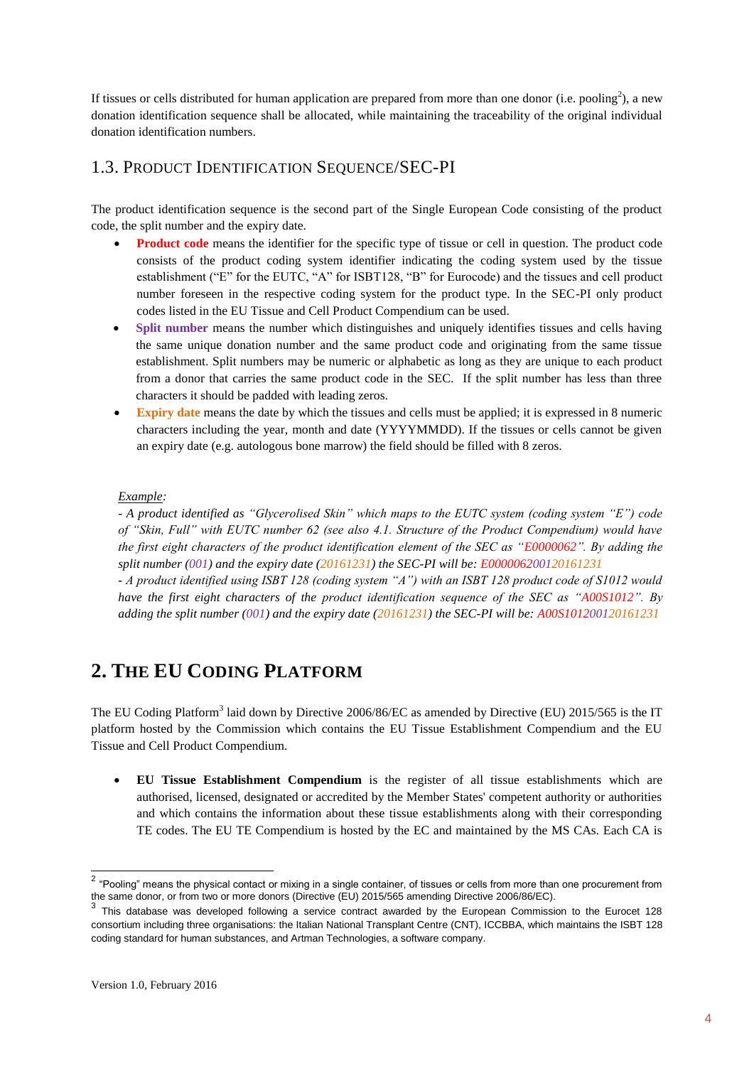If tissues or cells distributed for human application are prepared from more than one donor (i.e. pooling<sup>2</sup>), a new donation identification sequence shall be allocated, while maintaining the traceability of the original individual donation identification numbers.

## <span id="page-3-0"></span>1.3. PRODUCT IDENTIFICATION SEQUENCE/SEC-PI

The product identification sequence is the second part of the Single European Code consisting of the product code, the split number and the expiry date.

- **Product code** means the identifier for the specific type of tissue or cell in question. The product code consists of the product coding system identifier indicating the coding system used by the tissue establishment ("E" for the EUTC, "A" for ISBT128, "B" for Eurocode) and the tissues and cell product number foreseen in the respective coding system for the product type. In the SEC-PI only product codes listed in the EU Tissue and Cell Product Compendium can be used.
- **Split number** means the number which distinguishes and uniquely identifies tissues and cells having the same unique donation number and the same product code and originating from the same tissue establishment. Split numbers may be numeric or alphabetic as long as they are unique to each product from a donor that carries the same product code in the SEC. If the split number has less than three characters it should be padded with leading zeros.
- **Expiry date** means the date by which the tissues and cells must be applied; it is expressed in 8 numeric characters including the year, month and date (YYYYMMDD). If the tissues or cells cannot be given an expiry date (e.g. autologous bone marrow) the field should be filled with 8 zeros.

### *Example:*

*- A product identified as "Glycerolised Skin" which maps to the EUTC system (coding system "E") code of "Skin, Full" with EUTC number 62 (see also 4.1. Structure of the Product Compendium) would have the first eight characters of the product identification element of the SEC as "E0000062". By adding the split number (001) and the expiry date (20161231) the SEC-PI will be: E000006200120161231*

*- A product identified using ISBT 128 (coding system "A") with an ISBT 128 product code of S1012 would have the first eight characters of the product identification sequence of the SEC as "A00S1012". By adding the split number (001) and the expiry date (20161231) the SEC-PI will be: A00S101200120161231*

## <span id="page-3-1"></span>**2. THE EU CODING PLATFORM**

The EU Coding Platform<sup>3</sup> laid down by Directive 2006/86/EC as amended by Directive (EU) 2015/565 is the IT platform hosted by the Commission which contains the EU Tissue Establishment Compendium and the EU Tissue and Cell Product Compendium.

 **EU Tissue Establishment Compendium** is the register of all tissue establishments which are authorised, licensed, designated or accredited by the Member States' competent authority or authorities and which contains the information about these tissue establishments along with their corresponding TE codes. The EU TE Compendium is hosted by the EC and maintained by the MS CAs. Each CA is

 2 "Pooling" means the physical contact or mixing in a single container, of tissues or cells from more than one procurement from the same donor, or from two or more donors (Directive (EU) 2015/565 amending Directive 2006/86/EC).<br>3. This abital security alternative of following a species contract amended her the European Occasion

This database was developed following a service contract awarded by the European Commission to the Eurocet 128 consortium including three organisations: the Italian National Transplant Centre (CNT), ICCBBA, which maintains the ISBT 128 coding standard for human substances, and Artman Technologies, a software company.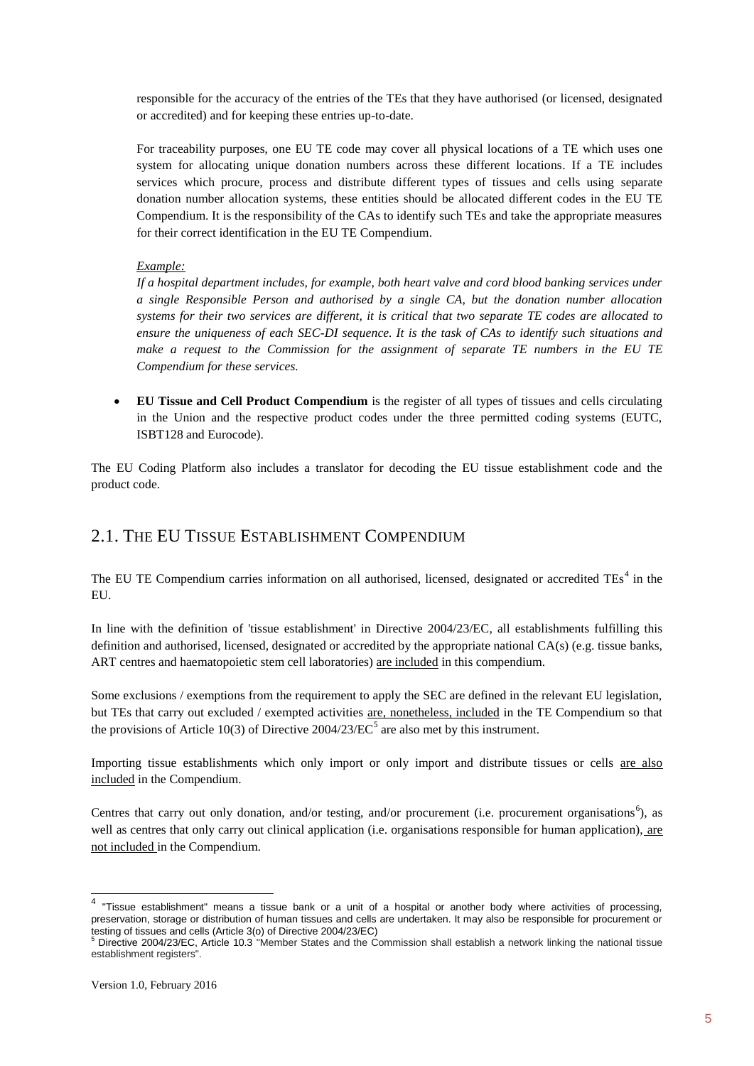responsible for the accuracy of the entries of the TEs that they have authorised (or licensed, designated or accredited) and for keeping these entries up-to-date.

For traceability purposes, one EU TE code may cover all physical locations of a TE which uses one system for allocating unique donation numbers across these different locations. If a TE includes services which procure, process and distribute different types of tissues and cells using separate donation number allocation systems, these entities should be allocated different codes in the EU TE Compendium. It is the responsibility of the CAs to identify such TEs and take the appropriate measures for their correct identification in the EU TE Compendium.

### *Example:*

*If a hospital department includes, for example, both heart valve and cord blood banking services under a single Responsible Person and authorised by a single CA, but the donation number allocation systems for their two services are different, it is critical that two separate TE codes are allocated to ensure the uniqueness of each SEC-DI sequence. It is the task of CAs to identify such situations and make a request to the Commission for the assignment of separate TE numbers in the EU TE Compendium for these services.*

 **EU Tissue and Cell Product Compendium** is the register of all types of tissues and cells circulating in the Union and the respective product codes under the three permitted coding systems (EUTC, ISBT128 and Eurocode).

The EU Coding Platform also includes a translator for decoding the EU tissue establishment code and the product code.

## <span id="page-4-0"></span>2.1. THE EU TISSUE ESTABLISHMENT COMPENDIUM

The EU TE Compendium carries information on all authorised, licensed, designated or accredited TEs<sup>4</sup> in the EU.

In line with the definition of 'tissue establishment' in Directive 2004/23/EC, all establishments fulfilling this definition and authorised, licensed, designated or accredited by the appropriate national CA(s) (e.g. tissue banks, ART centres and haematopoietic stem cell laboratories) are included in this compendium.

Some exclusions / exemptions from the requirement to apply the SEC are defined in the relevant EU legislation, but TEs that carry out excluded / exempted activities are, nonetheless, included in the TE Compendium so that the provisions of Article 10(3) of Directive  $2004/23/EC^5$  are also met by this instrument.

Importing tissue establishments which only import or only import and distribute tissues or cells are also included in the Compendium.

Centres that carry out only donation, and/or testing, and/or procurement (i.e. procurement organisations<sup>6</sup>), as well as centres that only carry out clinical application (i.e. organisations responsible for human application), are not included in the Compendium.

 4 "Tissue establishment" means a tissue bank or a unit of a hospital or another body where activities of processing, preservation, storage or distribution of human tissues and cells are undertaken. It may also be responsible for procurement or testing of tissues and cells (Article 3(o) of Directive 2004/23/EC)<br><sup>5</sup> Directive 2004/23/EC, Article 10.3 "Member States and the Commission shall establish a network linking the national tissue

establishment registers".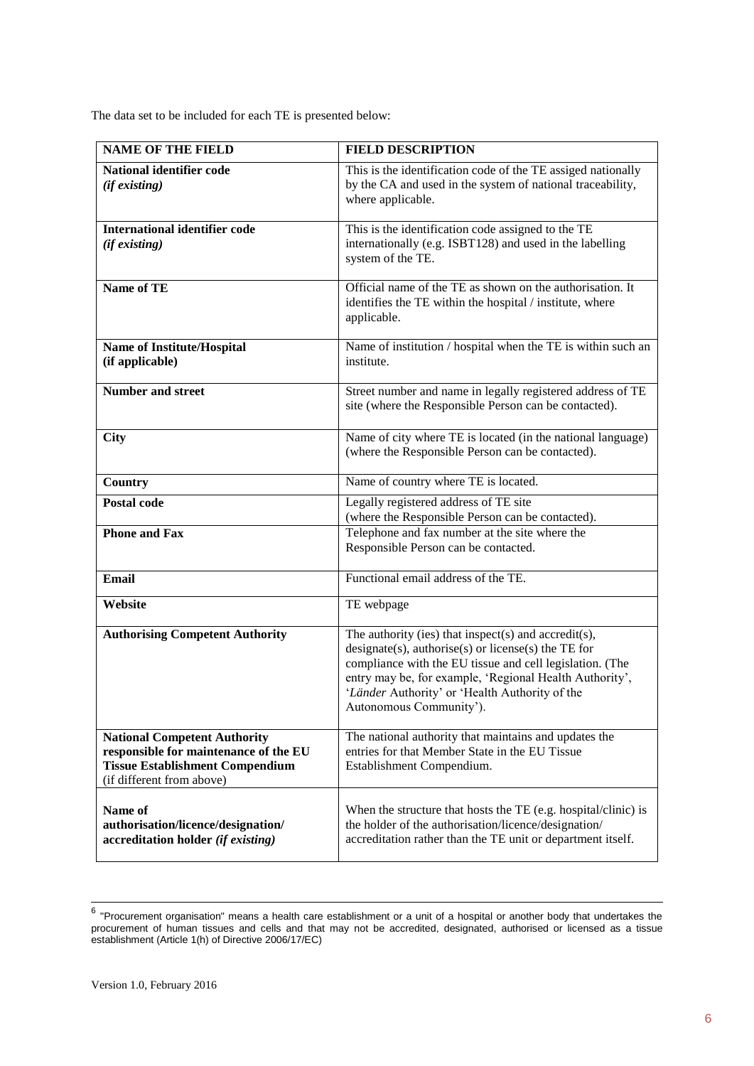The data set to be included for each TE is presented below:

| <b>NAME OF THE FIELD</b>                                                                                                                            | <b>FIELD DESCRIPTION</b>                                                                                                                                                                                                                                                                                                 |
|-----------------------------------------------------------------------------------------------------------------------------------------------------|--------------------------------------------------------------------------------------------------------------------------------------------------------------------------------------------------------------------------------------------------------------------------------------------------------------------------|
| National identifier code<br>$(if\, existing)$                                                                                                       | This is the identification code of the TE assiged nationally<br>by the CA and used in the system of national traceability,<br>where applicable.                                                                                                                                                                          |
| <b>International identifier code</b><br>(if existing)                                                                                               | This is the identification code assigned to the TE<br>internationally (e.g. ISBT128) and used in the labelling<br>system of the TE.                                                                                                                                                                                      |
| <b>Name of TE</b>                                                                                                                                   | Official name of the TE as shown on the authorisation. It<br>identifies the TE within the hospital / institute, where<br>applicable.                                                                                                                                                                                     |
| Name of Institute/Hospital<br>(if applicable)                                                                                                       | Name of institution / hospital when the TE is within such an<br>institute.                                                                                                                                                                                                                                               |
| <b>Number and street</b>                                                                                                                            | Street number and name in legally registered address of TE<br>site (where the Responsible Person can be contacted).                                                                                                                                                                                                      |
| <b>City</b>                                                                                                                                         | Name of city where TE is located (in the national language)<br>(where the Responsible Person can be contacted).                                                                                                                                                                                                          |
| Country                                                                                                                                             | Name of country where TE is located.                                                                                                                                                                                                                                                                                     |
| <b>Postal code</b>                                                                                                                                  | Legally registered address of TE site<br>(where the Responsible Person can be contacted).                                                                                                                                                                                                                                |
| <b>Phone and Fax</b>                                                                                                                                | Telephone and fax number at the site where the<br>Responsible Person can be contacted.                                                                                                                                                                                                                                   |
| <b>Email</b>                                                                                                                                        | Functional email address of the TE.                                                                                                                                                                                                                                                                                      |
| Website                                                                                                                                             | TE webpage                                                                                                                                                                                                                                                                                                               |
| <b>Authorising Competent Authority</b>                                                                                                              | The authority (ies) that inspect(s) and accredit(s),<br>$designate(s)$ , authorise $(s)$ or license $(s)$ the TE for<br>compliance with the EU tissue and cell legislation. (The<br>entry may be, for example, 'Regional Health Authority',<br>'Länder Authority' or 'Health Authority of the<br>Autonomous Community'). |
| <b>National Competent Authority</b><br>responsible for maintenance of the EU<br><b>Tissue Establishment Compendium</b><br>(if different from above) | The national authority that maintains and updates the<br>entries for that Member State in the EU Tissue<br>Establishment Compendium.                                                                                                                                                                                     |
| Name of<br>authorisation/licence/designation/<br>accreditation holder (if existing)                                                                 | When the structure that hosts the TE (e.g. hospital/clinic) is<br>the holder of the authorisation/licence/designation/<br>accreditation rather than the TE unit or department itself.                                                                                                                                    |

 6 "Procurement organisation" means a health care establishment or a unit of a hospital or another body that undertakes the procurement of human tissues and cells and that may not be accredited, designated, authorised or licensed as a tissue establishment (Article 1(h) of Directive 2006/17/EC)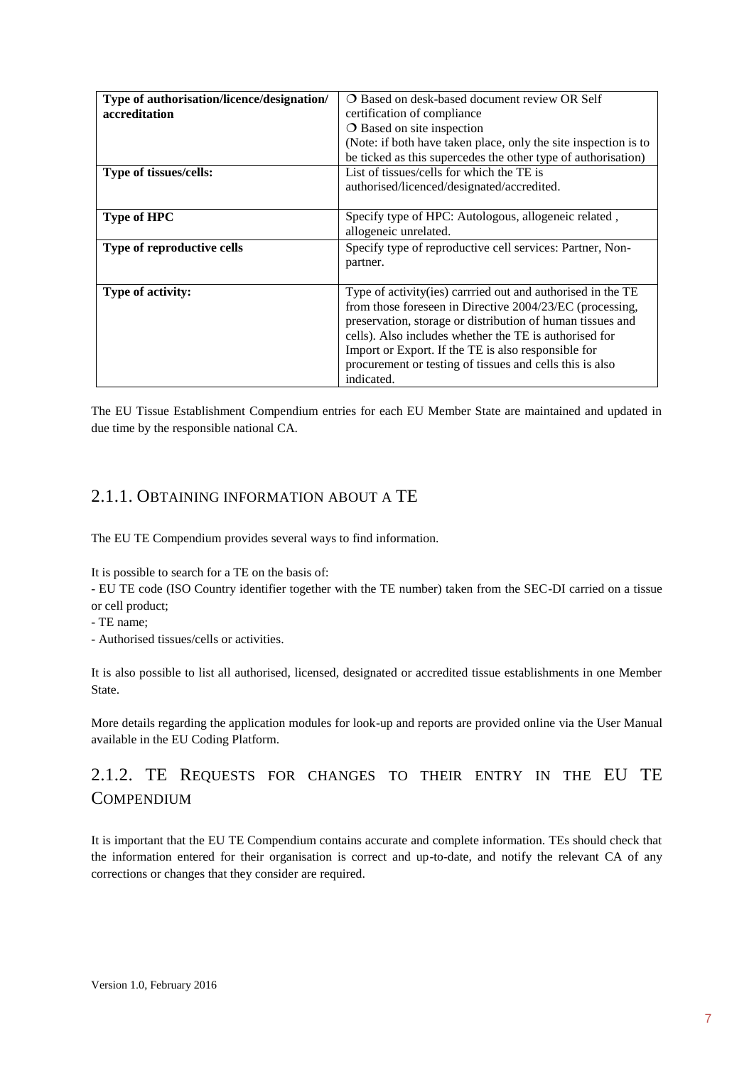| Type of authorisation/licence/designation/ | <b>O</b> Based on desk-based document review OR Self            |
|--------------------------------------------|-----------------------------------------------------------------|
| accreditation                              | certification of compliance                                     |
|                                            | <b>O</b> Based on site inspection                               |
|                                            | (Note: if both have taken place, only the site inspection is to |
|                                            | be ticked as this supercedes the other type of authorisation)   |
| Type of tissues/cells:                     | List of tissues/cells for which the TE is                       |
|                                            | authorised/licenced/designated/accredited.                      |
|                                            |                                                                 |
| <b>Type of HPC</b>                         | Specify type of HPC: Autologous, allogeneic related,            |
|                                            | allogeneic unrelated.                                           |
| Type of reproductive cells                 | Specify type of reproductive cell services: Partner, Non-       |
|                                            | partner.                                                        |
|                                            |                                                                 |
| Type of activity:                          | Type of activity (ies) carrried out and authorised in the TE    |
|                                            | from those foreseen in Directive 2004/23/EC (processing,        |
|                                            | preservation, storage or distribution of human tissues and      |
|                                            | cells). Also includes whether the TE is authorised for          |
|                                            | Import or Export. If the TE is also responsible for             |
|                                            | procurement or testing of tissues and cells this is also        |
|                                            | indicated.                                                      |

The EU Tissue Establishment Compendium entries for each EU Member State are maintained and updated in due time by the responsible national CA.

## <span id="page-6-0"></span>2.1.1. OBTAINING INFORMATION ABOUT A TE

The EU TE Compendium provides several ways to find information.

It is possible to search for a TE on the basis of:

- EU TE code (ISO Country identifier together with the TE number) taken from the SEC-DI carried on a tissue or cell product;

- TE name;

- Authorised tissues/cells or activities.

It is also possible to list all authorised, licensed, designated or accredited tissue establishments in one Member State.

More details regarding the application modules for look-up and reports are provided online via the User Manual available in the EU Coding Platform.

## <span id="page-6-1"></span>2.1.2. TE REQUESTS FOR CHANGES TO THEIR ENTRY IN THE EU TE **COMPENDIUM**

It is important that the EU TE Compendium contains accurate and complete information. TEs should check that the information entered for their organisation is correct and up-to-date, and notify the relevant CA of any corrections or changes that they consider are required.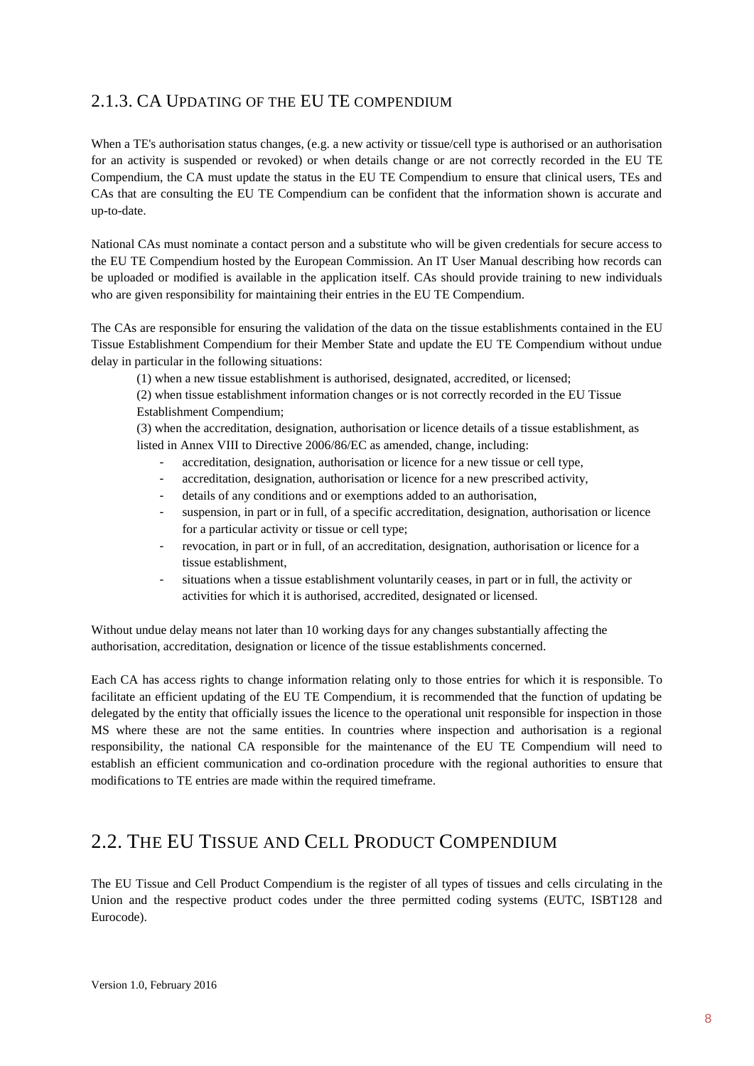## <span id="page-7-0"></span>2.1.3. CA UPDATING OF THE EU TE COMPENDIUM

When a TE's authorisation status changes, (e.g. a new activity or tissue/cell type is authorised or an authorisation for an activity is suspended or revoked) or when details change or are not correctly recorded in the EU TE Compendium, the CA must update the status in the EU TE Compendium to ensure that clinical users, TEs and CAs that are consulting the EU TE Compendium can be confident that the information shown is accurate and up-to-date.

National CAs must nominate a contact person and a substitute who will be given credentials for secure access to the EU TE Compendium hosted by the European Commission. An IT User Manual describing how records can be uploaded or modified is available in the application itself. CAs should provide training to new individuals who are given responsibility for maintaining their entries in the EU TE Compendium.

The CAs are responsible for ensuring the validation of the data on the tissue establishments contained in the EU Tissue Establishment Compendium for their Member State and update the EU TE Compendium without undue delay in particular in the following situations:

(1) when a new tissue establishment is authorised, designated, accredited, or licensed;

(2) when tissue establishment information changes or is not correctly recorded in the EU Tissue Establishment Compendium;

(3) when the accreditation, designation, authorisation or licence details of a tissue establishment, as listed in Annex VIII to Directive 2006/86/EC as amended, change, including:

- accreditation, designation, authorisation or licence for a new tissue or cell type,
- accreditation, designation, authorisation or licence for a new prescribed activity,
- details of any conditions and or exemptions added to an authorisation,
- suspension, in part or in full, of a specific accreditation, designation, authorisation or licence for a particular activity or tissue or cell type;
- revocation, in part or in full, of an accreditation, designation, authorisation or licence for a tissue establishment,
- situations when a tissue establishment voluntarily ceases, in part or in full, the activity or activities for which it is authorised, accredited, designated or licensed.

Without undue delay means not later than 10 working days for any changes substantially affecting the authorisation, accreditation, designation or licence of the tissue establishments concerned.

Each CA has access rights to change information relating only to those entries for which it is responsible. To facilitate an efficient updating of the EU TE Compendium, it is recommended that the function of updating be delegated by the entity that officially issues the licence to the operational unit responsible for inspection in those MS where these are not the same entities. In countries where inspection and authorisation is a regional responsibility, the national CA responsible for the maintenance of the EU TE Compendium will need to establish an efficient communication and co-ordination procedure with the regional authorities to ensure that modifications to TE entries are made within the required timeframe.

## <span id="page-7-1"></span>2.2. THE EU TISSUE AND CELL PRODUCT COMPENDIUM

The EU Tissue and Cell Product Compendium is the register of all types of tissues and cells circulating in the Union and the respective product codes under the three permitted coding systems (EUTC, ISBT128 and Eurocode).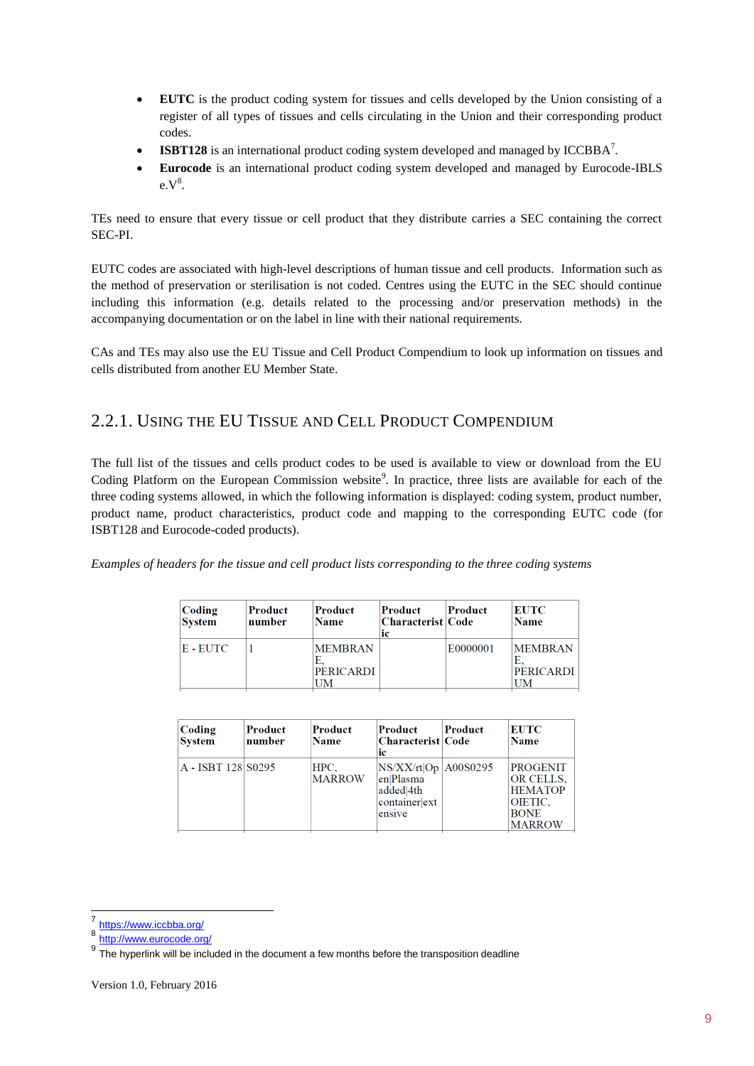- **EUTC** is the product coding system for tissues and cells developed by the Union consisting of a register of all types of tissues and cells circulating in the Union and their corresponding product codes.
- **ISBT128** is an international product coding system developed and managed by ICCBBA<sup>7</sup>.
- **Eurocode** is an international product coding system developed and managed by Eurocode-IBLS  $e.V^8$ .

TEs need to ensure that every tissue or cell product that they distribute carries a SEC containing the correct SEC-PI.

EUTC codes are associated with high-level descriptions of human tissue and cell products. Information such as the method of preservation or sterilisation is not coded. Centres using the EUTC in the SEC should continue including this information (e.g. details related to the processing and/or preservation methods) in the accompanying documentation or on the label in line with their national requirements.

CAs and TEs may also use the EU Tissue and Cell Product Compendium to look up information on tissues and cells distributed from another EU Member State.

## <span id="page-8-0"></span>2.2.1. USING THE EU TISSUE AND CELL PRODUCT COMPENDIUM

The full list of the tissues and cells product codes to be used is available to view or download from the EU Coding Platform on the European Commission website<sup>9</sup>. In practice, three lists are available for each of the three coding systems allowed, in which the following information is displayed: coding system, product number, product name, product characteristics, product code and mapping to the corresponding EUTC code (for ISBT128 and Eurocode-coded products).

*Examples of headers for the tissue and cell product lists corresponding to the three coding systems* 

| Coding<br><b>System</b> | Product<br>number | Product<br><b>Name</b>             | Product<br> Characterist Code <br>ic | Product  | <b>EUTC</b><br><b>Name</b>               |
|-------------------------|-------------------|------------------------------------|--------------------------------------|----------|------------------------------------------|
| E - EUTC                |                   | <b>MEMBRAN</b><br><b>PERICARDI</b> |                                      | E0000001 | <b>MEMBRAN</b><br><b>PERICARDI</b><br>UM |

| Coding<br><b>System</b> | Product<br>number | Product<br><b>Name</b> | Product<br> Characterist Code<br>iс                                      | Product | <b>EUTC</b><br><b>Name</b>                                                                |
|-------------------------|-------------------|------------------------|--------------------------------------------------------------------------|---------|-------------------------------------------------------------------------------------------|
| A - ISBT 128 S0295      |                   | HPC.<br><b>MARROW</b>  | NS/XX/rt Op A00S0295<br>en Plasma<br>added 4th<br>containerext<br>ensive |         | <b>PROGENIT</b><br>OR CELLS.<br><b>HEMATOP</b><br>OIETIC,<br><b>BONE</b><br><b>MARROW</b> |

1

<sup>7</sup> <https://www.iccbba.org/>

<sup>8</sup> <http://www.eurocode.org/>

<sup>&</sup>lt;sup>9</sup> The hyperlink will be included in the document a few months before the transposition deadline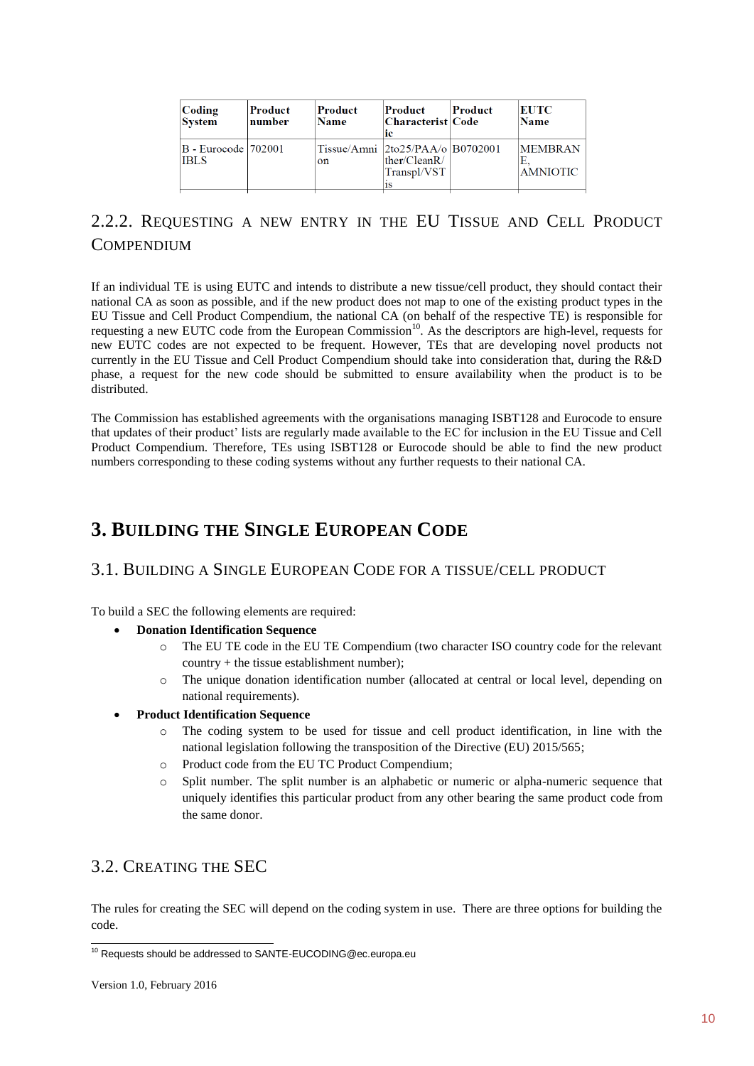| Coding<br><b>System</b>              | Product<br>number | Product<br><b>Name</b> | Product<br> Characterist Code <br>ic                                                          | Product | EUTC<br><b>Name</b>               |
|--------------------------------------|-------------------|------------------------|-----------------------------------------------------------------------------------------------|---------|-----------------------------------|
| B - Eurocode   702001<br><b>IBLS</b> |                   | on                     | Tissue/Amni $ 2\text{to}25/\text{PAA}/\text{o} B0702001$<br>ther/CleanR/<br>Transpl/VST<br>1S |         | <b>MEMBRAN</b><br><b>AMNIOTIC</b> |

## <span id="page-9-0"></span>2.2.2. REQUESTING A NEW ENTRY IN THE EU TISSUE AND CELL PRODUCT **COMPENDIUM**

If an individual TE is using EUTC and intends to distribute a new tissue/cell product, they should contact their national CA as soon as possible, and if the new product does not map to one of the existing product types in the EU Tissue and Cell Product Compendium, the national CA (on behalf of the respective TE) is responsible for requesting a new EUTC code from the European Commission<sup>10</sup>. As the descriptors are high-level, requests for new EUTC codes are not expected to be frequent. However, TEs that are developing novel products not currently in the EU Tissue and Cell Product Compendium should take into consideration that, during the R&D phase, a request for the new code should be submitted to ensure availability when the product is to be distributed.

The Commission has established agreements with the organisations managing ISBT128 and Eurocode to ensure that updates of their product' lists are regularly made available to the EC for inclusion in the EU Tissue and Cell Product Compendium. Therefore, TEs using ISBT128 or Eurocode should be able to find the new product numbers corresponding to these coding systems without any further requests to their national CA.

## <span id="page-9-1"></span>**3. BUILDING THE SINGLE EUROPEAN CODE**

## <span id="page-9-2"></span>3.1. BUILDING A SINGLE EUROPEAN CODE FOR A TISSUE/CELL PRODUCT

To build a SEC the following elements are required:

- **Donation Identification Sequence**
	- o The EU TE code in the EU TE Compendium (two character ISO country code for the relevant  $country + the tissue establishment number);$
	- o The unique donation identification number (allocated at central or local level, depending on national requirements).
- **Product Identification Sequence**
	- o The coding system to be used for tissue and cell product identification, in line with the national legislation following the transposition of the Directive (EU) 2015/565;
	- o Product code from the EU TC Product Compendium;
	- Split number. The split number is an alphabetic or numeric or alpha-numeric sequence that uniquely identifies this particular product from any other bearing the same product code from the same donor.

## <span id="page-9-3"></span>3.2. CREATING THE SEC

The rules for creating the SEC will depend on the coding system in use. There are three options for building the code.

<sup>1</sup> <sup>10</sup> Requests should be addressed to SANTE-EUCODING@ec.europa.eu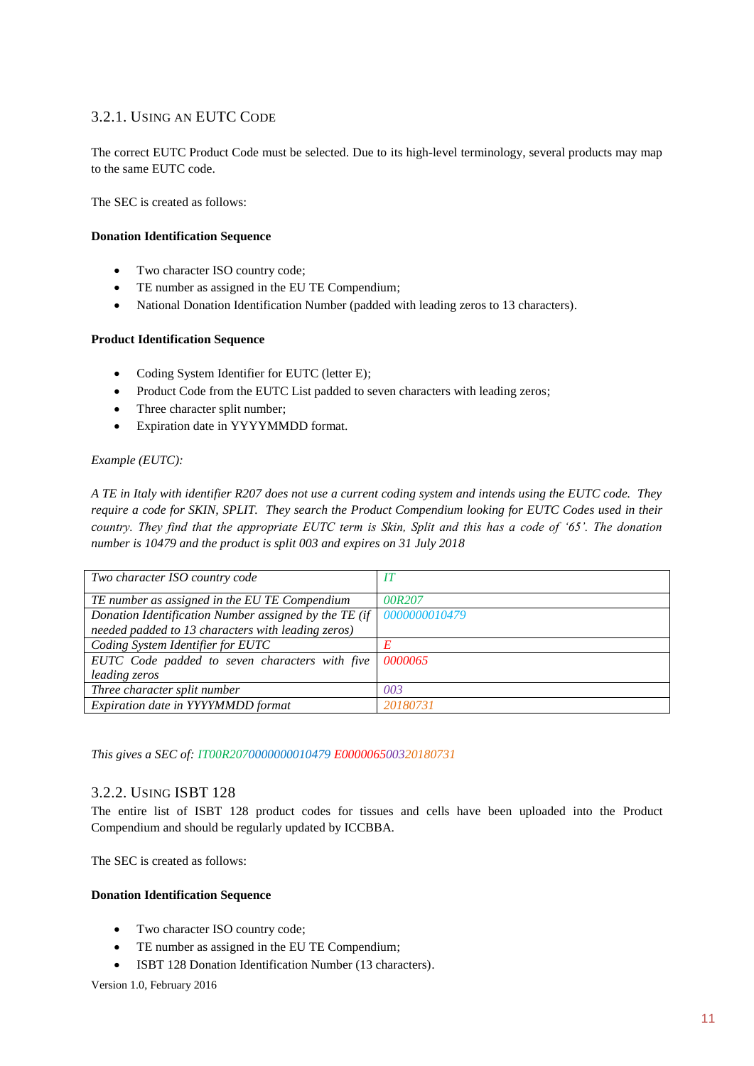## <span id="page-10-0"></span>3.2.1. USING AN EUTC CODE

The correct EUTC Product Code must be selected. Due to its high-level terminology, several products may map to the same EUTC code.

The SEC is created as follows:

#### **Donation Identification Sequence**

- Two character ISO country code;
- TE number as assigned in the EU TE Compendium;
- National Donation Identification Number (padded with leading zeros to 13 characters).

### **Product Identification Sequence**

- Coding System Identifier for EUTC (letter E);
- Product Code from the EUTC List padded to seven characters with leading zeros;
- Three character split number;
- Expiration date in YYYYMMDD format.

### *Example (EUTC):*

*A TE in Italy with identifier R207 does not use a current coding system and intends using the EUTC code. They require a code for SKIN, SPLIT. They search the Product Compendium looking for EUTC Codes used in their country. They find that the appropriate EUTC term is Skin, Split and this has a code of '65'. The donation number is 10479 and the product is split 003 and expires on 31 July 2018*

| Two character ISO country code                                              |          |
|-----------------------------------------------------------------------------|----------|
| TE number as assigned in the EU TE Compendium                               | 00R207   |
| Donation Identification Number assigned by the TE (if $\vert$ 0000000010479 |          |
| needed padded to 13 characters with leading zeros)                          |          |
| Coding System Identifier for EUTC                                           | E        |
| EUTC Code padded to seven characters with five                              | 0000065  |
| leading zeros                                                               |          |
| Three character split number                                                | 003      |
| Expiration date in YYYYMMDD format                                          | 20180731 |

*This gives a SEC of: IT00R2070000000010479 E000006500320180731*

## <span id="page-10-1"></span>3.2.2. USING ISBT 128

The entire list of ISBT 128 product codes for tissues and cells have been uploaded into the Product Compendium and should be regularly updated by ICCBBA.

The SEC is created as follows:

### **Donation Identification Sequence**

- Two character ISO country code;
- TE number as assigned in the EU TE Compendium;
- ISBT 128 Donation Identification Number (13 characters).

Version 1.0, February 2016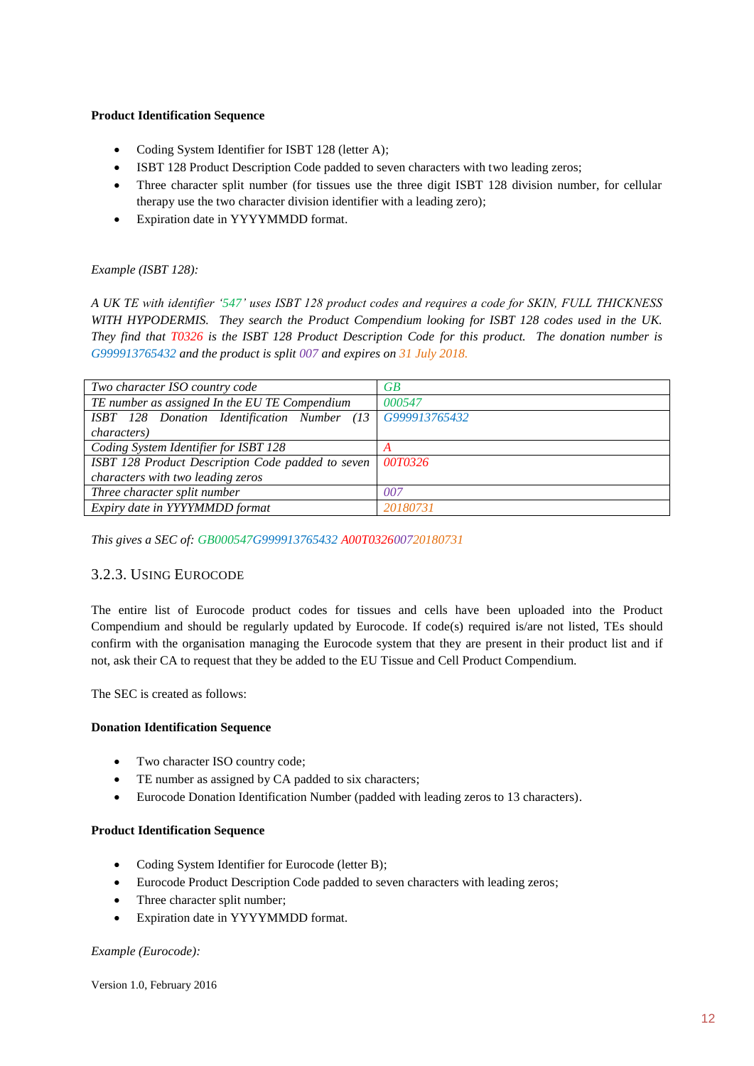### **Product Identification Sequence**

- Coding System Identifier for ISBT 128 (letter A);
- ISBT 128 Product Description Code padded to seven characters with two leading zeros;
- Three character split number (for tissues use the three digit ISBT 128 division number, for cellular therapy use the two character division identifier with a leading zero);
- Expiration date in YYYYMMDD format.

## *Example (ISBT 128):*

*A UK TE with identifier '547' uses ISBT 128 product codes and requires a code for SKIN, FULL THICKNESS WITH HYPODERMIS. They search the Product Compendium looking for ISBT 128 codes used in the UK. They find that T0326 is the ISBT 128 Product Description Code for this product. The donation number is G999913765432 and the product is split 007 and expires on 31 July 2018.*

| Two character ISO country code                            | GВ       |
|-----------------------------------------------------------|----------|
| TE number as assigned In the EU TE Compendium             | 000547   |
| ISBT 128 Donation Identification Number (13 G999913765432 |          |
| <i>characters</i> )                                       |          |
| Coding System Identifier for ISBT 128                     |          |
| ISBT 128 Product Description Code padded to seven         | 00T0326  |
| characters with two leading zeros                         |          |
| Three character split number                              | 007      |
| Expiry date in YYYYMMDD format                            | 20180731 |

*This gives a SEC of: GB000547G999913765432 A00T032600720180731*

## <span id="page-11-0"></span>3.2.3. USING EUROCODE

The entire list of Eurocode product codes for tissues and cells have been uploaded into the Product Compendium and should be regularly updated by Eurocode. If code(s) required is/are not listed, TEs should confirm with the organisation managing the Eurocode system that they are present in their product list and if not, ask their CA to request that they be added to the EU Tissue and Cell Product Compendium.

The SEC is created as follows:

## **Donation Identification Sequence**

- Two character ISO country code;
- TE number as assigned by CA padded to six characters;
- Eurocode Donation Identification Number (padded with leading zeros to 13 characters).

### **Product Identification Sequence**

- Coding System Identifier for Eurocode (letter B);
- Eurocode Product Description Code padded to seven characters with leading zeros;
- Three character split number;
- Expiration date in YYYYMMDD format.

## *Example (Eurocode):*

Version 1.0, February 2016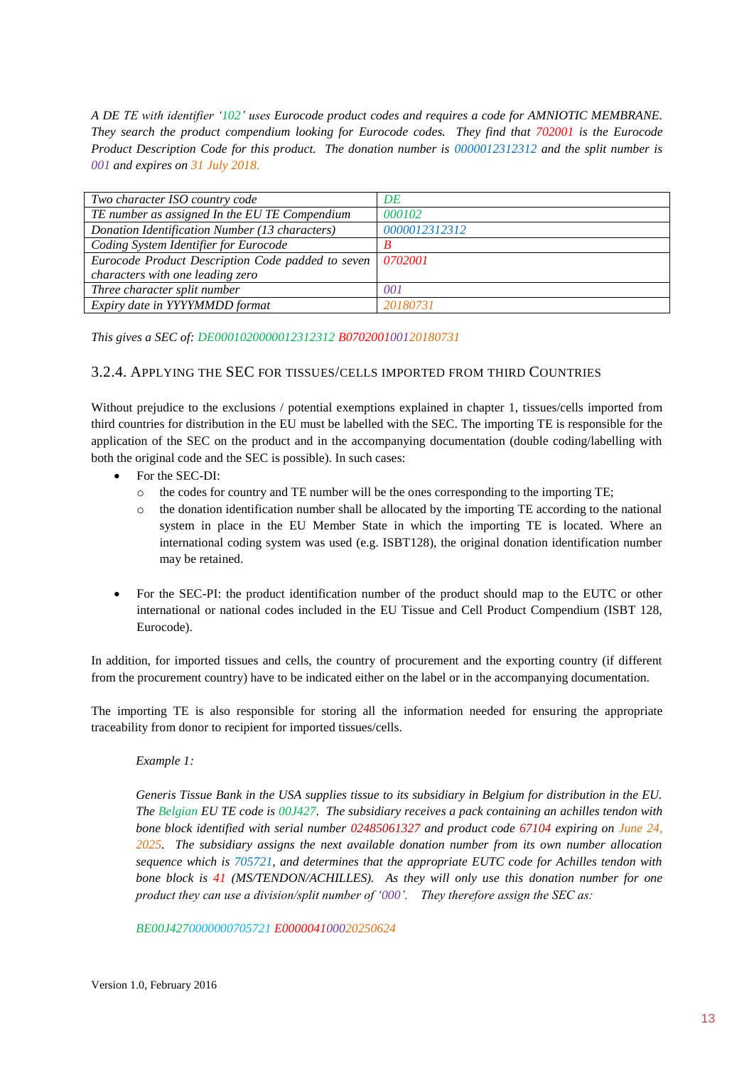*A DE TE with identifier '102' uses Eurocode product codes and requires a code for AMNIOTIC MEMBRANE. They search the product compendium looking for Eurocode codes. They find that 702001 is the Eurocode Product Description Code for this product. The donation number is 0000012312312 and the split number is 001 and expires on 31 July 2018.*

| Two character ISO country code                    | DE            |
|---------------------------------------------------|---------------|
| TE number as assigned In the EU TE Compendium     | 000102        |
| Donation Identification Number (13 characters)    | 0000012312312 |
| Coding System Identifier for Eurocode             | B             |
| Eurocode Product Description Code padded to seven | 0702001       |
| characters with one leading zero                  |               |
| Three character split number                      | 001           |
| Expiry date in YYYYMMDD format                    | 20180731      |

*This gives a SEC of: DE0001020000012312312 B070200100120180731*

### <span id="page-12-0"></span>3.2.4. APPLYING THE SEC FOR TISSUES/CELLS IMPORTED FROM THIRD COUNTRIES

Without prejudice to the exclusions / potential exemptions explained in chapter 1, tissues/cells imported from third countries for distribution in the EU must be labelled with the SEC. The importing TE is responsible for the application of the SEC on the product and in the accompanying documentation (double coding/labelling with both the original code and the SEC is possible). In such cases:

- For the SEC-DI:
	- o the codes for country and TE number will be the ones corresponding to the importing TE;
	- $\circ$  the donation identification number shall be allocated by the importing TE according to the national system in place in the EU Member State in which the importing TE is located. Where an international coding system was used (e.g. ISBT128), the original donation identification number may be retained.
- For the SEC-PI: the product identification number of the product should map to the EUTC or other international or national codes included in the EU Tissue and Cell Product Compendium (ISBT 128, Eurocode).

In addition, for imported tissues and cells, the country of procurement and the exporting country (if different from the procurement country) have to be indicated either on the label or in the accompanying documentation.

The importing TE is also responsible for storing all the information needed for ensuring the appropriate traceability from donor to recipient for imported tissues/cells.

### *Example 1:*

*Generis Tissue Bank in the USA supplies tissue to its subsidiary in Belgium for distribution in the EU. The Belgian EU TE code is 00J427. The subsidiary receives a pack containing an achilles tendon with bone block identified with serial number 02485061327 and product code 67104 expiring on June 24, 2025. The subsidiary assigns the next available donation number from its own number allocation sequence which is 705721, and determines that the appropriate EUTC code for Achilles tendon with bone block is 41 (MS/TENDON/ACHILLES). As they will only use this donation number for one product they can use a division/split number of '000'. They therefore assign the SEC as:*

*BE00J4270000000705721 E000004100020250624*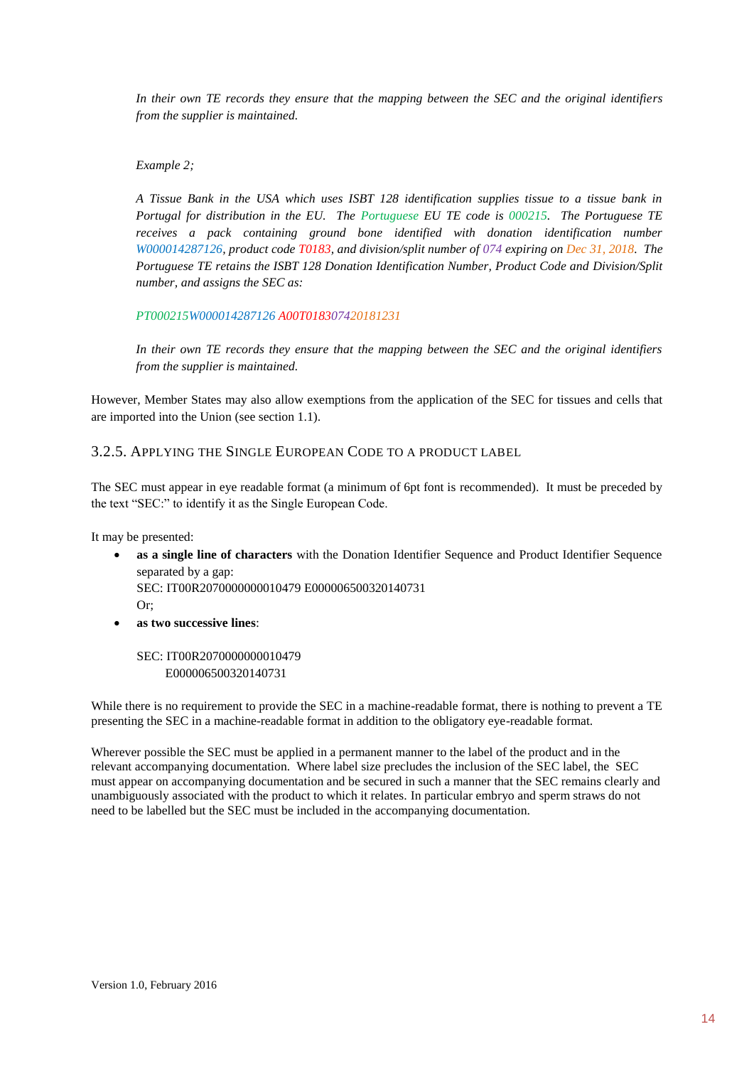*In their own TE records they ensure that the mapping between the SEC and the original identifiers from the supplier is maintained.*

*Example 2;*

*A Tissue Bank in the USA which uses ISBT 128 identification supplies tissue to a tissue bank in Portugal for distribution in the EU. The Portuguese EU TE code is 000215. The Portuguese TE receives a pack containing ground bone identified with donation identification number W000014287126, product code T0183, and division/split number of 074 expiring on Dec 31, 2018. The Portuguese TE retains the ISBT 128 Donation Identification Number, Product Code and Division/Split number, and assigns the SEC as:*

*PT000215W000014287126 A00T018307420181231*

*In their own TE records they ensure that the mapping between the SEC and the original identifiers from the supplier is maintained.*

However, Member States may also allow exemptions from the application of the SEC for tissues and cells that are imported into the Union (see section 1.1).

<span id="page-13-0"></span>3.2.5. APPLYING THE SINGLE EUROPEAN CODE TO A PRODUCT LABEL

The SEC must appear in eye readable format (a minimum of 6pt font is recommended). It must be preceded by the text "SEC:" to identify it as the Single European Code.

It may be presented:

 **as a single line of characters** with the Donation Identifier Sequence and Product Identifier Sequence separated by a gap:

SEC: IT00R2070000000010479 E000006500320140731  $Or$ 

- 
- **as two successive lines**:

SEC: IT00R2070000000010479 E000006500320140731

While there is no requirement to provide the SEC in a machine-readable format, there is nothing to prevent a TE presenting the SEC in a machine-readable format in addition to the obligatory eye-readable format.

Wherever possible the SEC must be applied in a permanent manner to the label of the product and in the relevant accompanying documentation. Where label size precludes the inclusion of the SEC label, the SEC must appear on accompanying documentation and be secured in such a manner that the SEC remains clearly and unambiguously associated with the product to which it relates. In particular embryo and sperm straws do not need to be labelled but the SEC must be included in the accompanying documentation.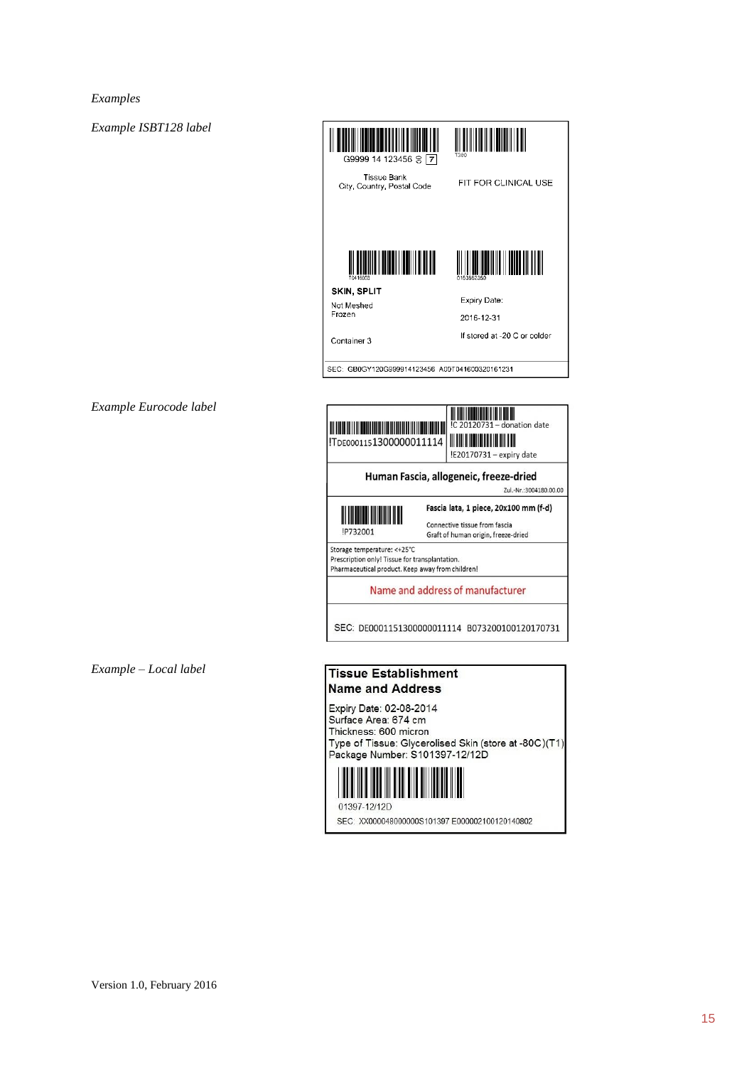*Examples*

*Example ISBT128 label*



*Example Eurocode label*

*Example – Local label*

### <u> Hillian Hill</u> IC 20120731 - donation date !E20170731 - expiry date Human Fascia, allogeneic, freeze-dried Zul.-Nr.:3004180.00.00 Fascia lata, 1 piece, 20x100 mm (f-d) Connective tissue from fascia IP732001 Graft of human origin, freeze-dried Storage temperature: <+25°C Prescription only! Tissue for transplantation. Pharmaceutical product. Keep away from children! Name and address of manufacturer SEC: DE0001151300000011114 B073200100120170731

### **Tissue Establishment Name and Address**

Expiry Date: 02-08-2014 Surface Area: 674 cm Thickness: 600 micron Type of Tissue: Glycerolised Skin (store at -80C)(T1) Package Number: S101397-12/12D



SEC: XX000048000000S101397 E000002100120140802